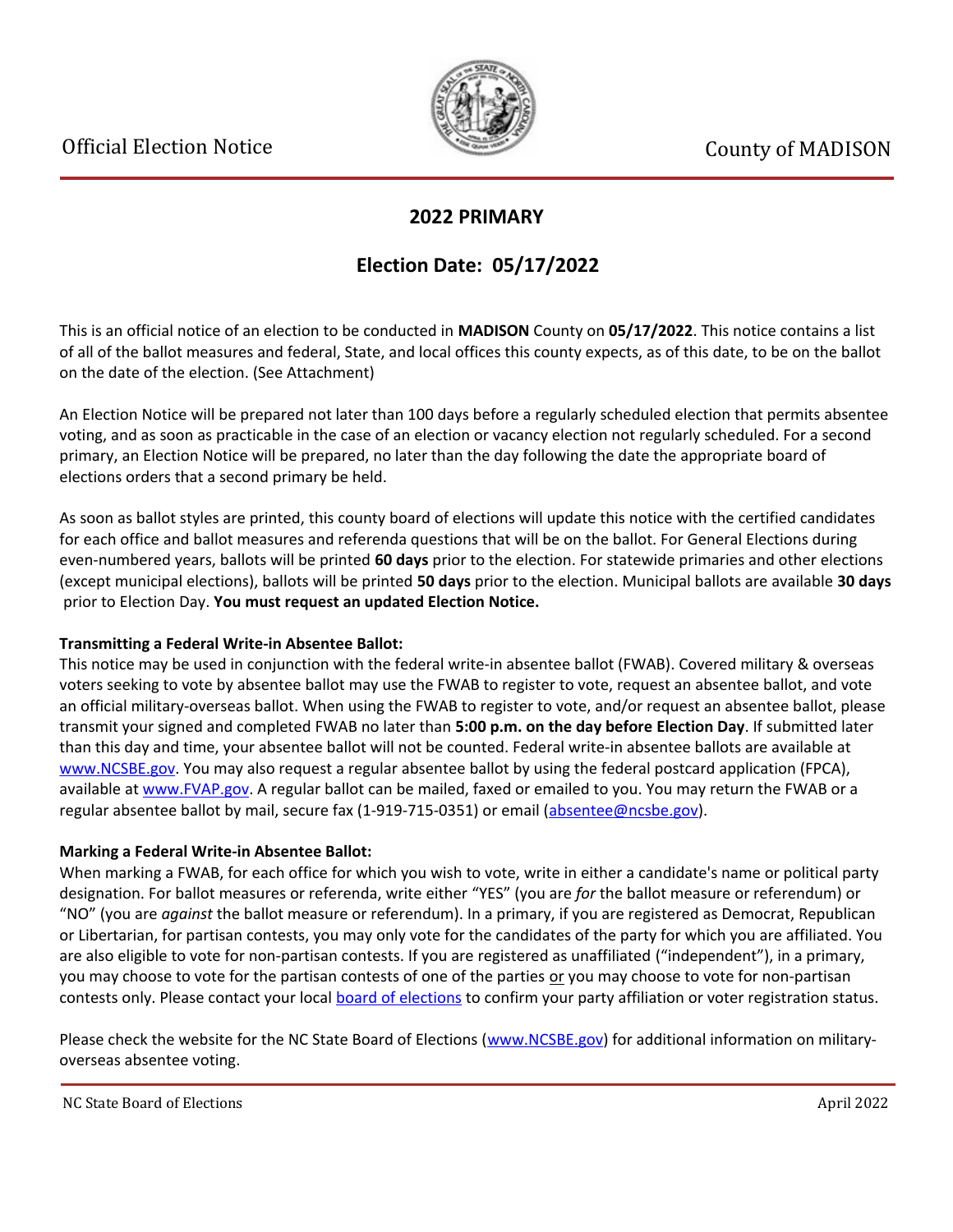

## **2022 PRIMARY**

# **Election Date: 05/17/2022**

This is an official notice of an election to be conducted in **MADISON** County on **05/17/2022**. This notice contains a list of all of the ballot measures and federal, State, and local offices this county expects, as of this date, to be on the ballot on the date of the election. (See Attachment)

An Election Notice will be prepared not later than 100 days before a regularly scheduled election that permits absentee voting, and as soon as practicable in the case of an election or vacancy election not regularly scheduled. For a second primary, an Election Notice will be prepared, no later than the day following the date the appropriate board of elections orders that a second primary be held.

As soon as ballot styles are printed, this county board of elections will update this notice with the certified candidates for each office and ballot measures and referenda questions that will be on the ballot. For General Elections during even-numbered years, ballots will be printed **60 days** prior to the election. For statewide primaries and other elections (except municipal elections), ballots will be printed **50 days** prior to the election. Municipal ballots are available **30 days** prior to Election Day. **You must request an updated Election Notice.**

## **Transmitting a Federal Write-in Absentee Ballot:**

This notice may be used in conjunction with the federal write-in absentee ballot (FWAB). Covered military & overseas voters seeking to vote by absentee ballot may use the FWAB to register to vote, request an absentee ballot, and vote an official military-overseas ballot. When using the FWAB to register to vote, and/or request an absentee ballot, please transmit your signed and completed FWAB no later than **5:00 p.m. on the day before Election Day**. If submitted later than this day and time, your absentee ballot will not be counted. Federal write-in absentee ballots are available at [www.NCSBE.gov.](https://www.ncsbe.gov/) You may also request a regular absentee ballot by using the federal postcard application (FPCA), available at [www.FVAP.gov](https://www.fvap.gov/). A regular ballot can be mailed, faxed or emailed to you. You may return the FWAB or a regular absentee ballot by mail, secure fax (1-919-715-0351) or email (absentee@ncsbe.gov).

## **Marking a Federal Write-in Absentee Ballot:**

When marking a FWAB, for each office for which you wish to vote, write in either a candidate's name or political party designation. For ballot measures or referenda, write either "YES" (you are *for* the ballot measure or referendum) or "NO" (you are *against* the ballot measure or referendum). In a primary, if you are registered as Democrat, Republican or Libertarian, for partisan contests, you may only vote for the candidates of the party for which you are affiliated. You are also eligible to vote for non-partisan contests. If you are registered as unaffiliated ("independent"), in a primary, you may choose to vote for the partisan contests of one of the parties or you may choose to vote for non-partisan contests only. Please contact your local [board of elections](https://vt.ncsbe.gov/BOEInfo/) to confirm your party affiliation or voter registration status.

Please check the website for the NC State Board of Elections ([www.NCSBE.gov\)](https://www.ncsbe.gov/) for additional information on militaryoverseas absentee voting.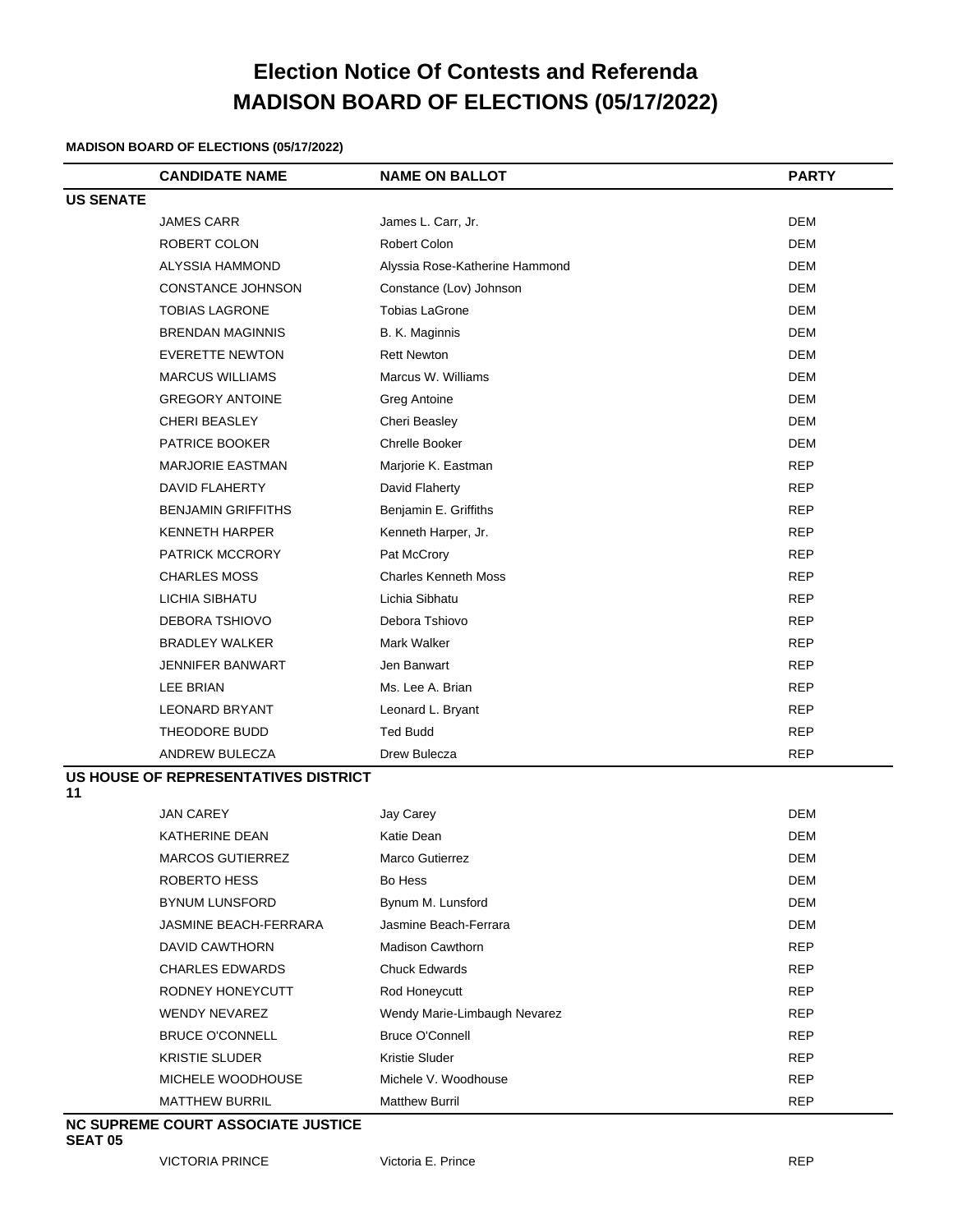# **Election Notice Of Contests and Referenda MADISON BOARD OF ELECTIONS (05/17/2022)**

#### **MADISON BOARD OF ELECTIONS (05/17/2022)**

|                  | <b>CANDIDATE NAME</b>                | <b>NAME ON BALLOT</b>          | <b>PARTY</b> |
|------------------|--------------------------------------|--------------------------------|--------------|
| <b>US SENATE</b> |                                      |                                |              |
|                  | <b>JAMES CARR</b>                    | James L. Carr, Jr.             | <b>DEM</b>   |
|                  | ROBERT COLON                         | Robert Colon                   | <b>DEM</b>   |
|                  | ALYSSIA HAMMOND                      | Alyssia Rose-Katherine Hammond | <b>DEM</b>   |
|                  | CONSTANCE JOHNSON                    | Constance (Lov) Johnson        | <b>DEM</b>   |
|                  | <b>TOBIAS LAGRONE</b>                | <b>Tobias LaGrone</b>          | <b>DEM</b>   |
|                  | <b>BRENDAN MAGINNIS</b>              | B. K. Maginnis                 | <b>DEM</b>   |
|                  | <b>EVERETTE NEWTON</b>               | <b>Rett Newton</b>             | <b>DEM</b>   |
|                  | <b>MARCUS WILLIAMS</b>               | Marcus W. Williams             | <b>DEM</b>   |
|                  | <b>GREGORY ANTOINE</b>               | <b>Greg Antoine</b>            | <b>DEM</b>   |
|                  | <b>CHERI BEASLEY</b>                 | Cheri Beasley                  | <b>DEM</b>   |
|                  | PATRICE BOOKER                       | <b>Chrelle Booker</b>          | <b>DEM</b>   |
|                  | <b>MARJORIE EASTMAN</b>              | Marjorie K. Eastman            | <b>REP</b>   |
|                  | DAVID FLAHERTY                       | David Flaherty                 | <b>REP</b>   |
|                  | <b>BENJAMIN GRIFFITHS</b>            | Benjamin E. Griffiths          | <b>REP</b>   |
|                  | <b>KENNETH HARPER</b>                | Kenneth Harper, Jr.            | <b>REP</b>   |
|                  | PATRICK MCCRORY                      | Pat McCrory                    | <b>REP</b>   |
|                  | <b>CHARLES MOSS</b>                  | <b>Charles Kenneth Moss</b>    | <b>REP</b>   |
|                  | LICHIA SIBHATU                       | Lichia Sibhatu                 | <b>REP</b>   |
|                  | DEBORA TSHIOVO                       | Debora Tshiovo                 | <b>REP</b>   |
|                  | <b>BRADLEY WALKER</b>                | Mark Walker                    | <b>REP</b>   |
|                  | <b>JENNIFER BANWART</b>              | Jen Banwart                    | <b>REP</b>   |
|                  | <b>LEE BRIAN</b>                     | Ms. Lee A. Brian               | <b>REP</b>   |
|                  | <b>LEONARD BRYANT</b>                | Leonard L. Bryant              | <b>REP</b>   |
|                  | THEODORE BUDD                        | <b>Ted Budd</b>                | <b>REP</b>   |
|                  | ANDREW BULECZA                       | Drew Bulecza                   | <b>REP</b>   |
|                  | US HOUSE OF REPRESENTATIVES DISTRICT |                                |              |
| 11               | <b>JAN CAREY</b>                     | Jay Carey                      | <b>DEM</b>   |
|                  | <b>KATHERINE DEAN</b>                | Katie Dean                     | <b>DEM</b>   |
|                  | <b>MARCOS GUTIERREZ</b>              | Marco Gutierrez                | <b>DEM</b>   |
|                  | ROBERTO HESS                         | Bo Hess                        | <b>DEM</b>   |
|                  | <b>BYNUM LUNSFORD</b>                | Bynum M. Lunsford              | <b>DEM</b>   |
|                  | <b>JASMINE BEACH-FERRARA</b>         | Jasmine Beach-Ferrara          | <b>DEM</b>   |
|                  | DAVID CAWTHORN                       | <b>Madison Cawthorn</b>        | <b>REP</b>   |
|                  | <b>CHARLES EDWARDS</b>               | <b>Chuck Edwards</b>           | <b>REP</b>   |
|                  | RODNEY HONEYCUTT                     | Rod Honeycutt                  | <b>REP</b>   |
|                  | <b>WENDY NEVAREZ</b>                 | Wendy Marie-Limbaugh Nevarez   | <b>REP</b>   |
|                  | <b>BRUCE O'CONNELL</b>               | <b>Bruce O'Connell</b>         | <b>REP</b>   |
|                  | <b>KRISTIE SLUDER</b>                | Kristie Sluder                 | <b>REP</b>   |
|                  | MICHELE WOODHOUSE                    | Michele V. Woodhouse           | <b>REP</b>   |
|                  | <b>MATTHEW BURRIL</b>                | <b>Matthew Burril</b>          | <b>REP</b>   |
|                  | MC CUDDEME COUDT ACCOCIATE ILICTICE  |                                |              |

**NC SUPREME COURT ASSOCIATE JUSTICE SEAT 05**